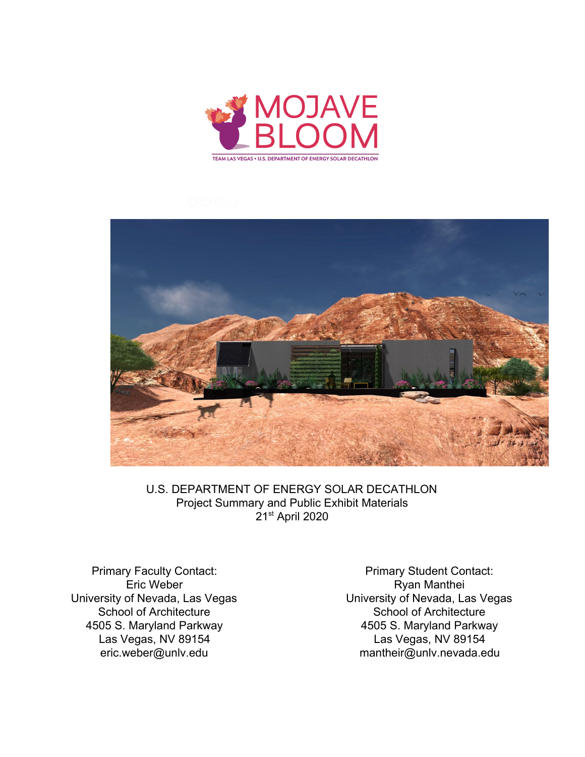



U.S. DEPARTMENT OF ENERGY SOLAR DECATHLON Project Summary and Public Exhibit Materials 21st April 2020

Primary Faculty Contact: Eric Weber University of Nevada, Las Vegas School of Architecture 4505 S. Maryland Parkway Las Vegas, NV 89154 eric.weber@unlv.edu

Primary Student Contact: Ryan Manthei University of Nevada, Las Vegas School of Architecture 4505 S. Maryland Parkway Las Vegas, NV 89154 mantheir@unlv.nevada.edu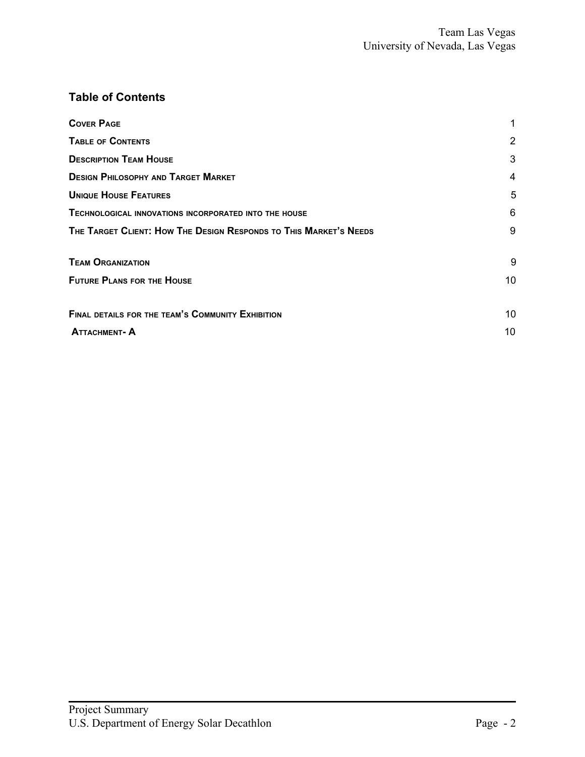# **Table of Contents**

| <b>COVER PAGE</b><br><b>TABLE OF CONTENTS</b><br><b>DESCRIPTION TEAM HOUSE</b><br><b>DESIGN PHILOSOPHY AND TARGET MARKET</b><br><b>UNIQUE HOUSE FEATURES</b><br>TECHNOLOGICAL INNOVATIONS INCORPORATED INTO THE HOUSE<br>THE TARGET CLIENT: HOW THE DESIGN RESPONDS TO THIS MARKET'S NEEDS | $\overline{2}$<br>3<br>4<br>5<br>6<br>9 |                                                          |    |
|--------------------------------------------------------------------------------------------------------------------------------------------------------------------------------------------------------------------------------------------------------------------------------------------|-----------------------------------------|----------------------------------------------------------|----|
|                                                                                                                                                                                                                                                                                            |                                         | <b>TEAM ORGANIZATION</b>                                 | 9  |
|                                                                                                                                                                                                                                                                                            |                                         | <b>FUTURE PLANS FOR THE HOUSE</b>                        | 10 |
|                                                                                                                                                                                                                                                                                            |                                         | <b>FINAL DETAILS FOR THE TEAM'S COMMUNITY EXHIBITION</b> | 10 |
|                                                                                                                                                                                                                                                                                            |                                         | <b>ATTACHMENT-A</b>                                      | 10 |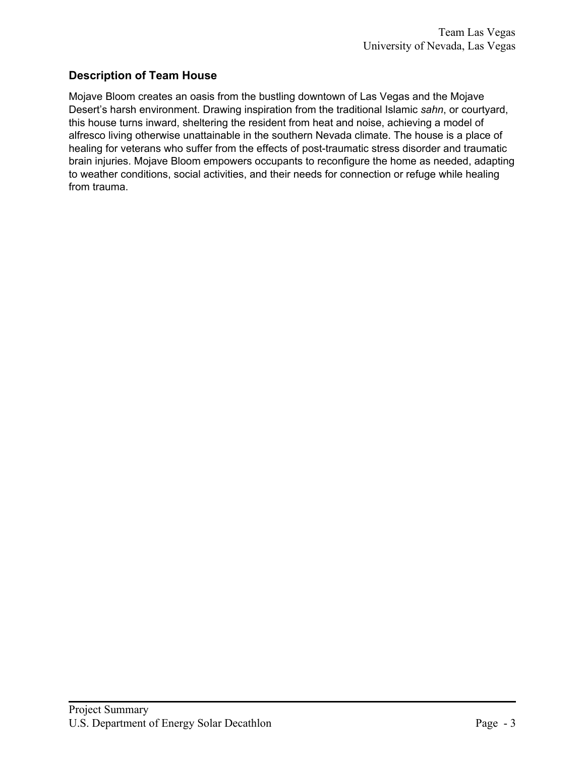# **Description of Team House**

Mojave Bloom creates an oasis from the bustling downtown of Las Vegas and the Mojave Desert's harsh environment. Drawing inspiration from the traditional Islamic *sahn*, or courtyard, this house turns inward, sheltering the resident from heat and noise, achieving a model of alfresco living otherwise unattainable in the southern Nevada climate. The house is a place of healing for veterans who suffer from the effects of post-traumatic stress disorder and traumatic brain injuries. Mojave Bloom empowers occupants to reconfigure the home as needed, adapting to weather conditions, social activities, and their needs for connection or refuge while healing from trauma.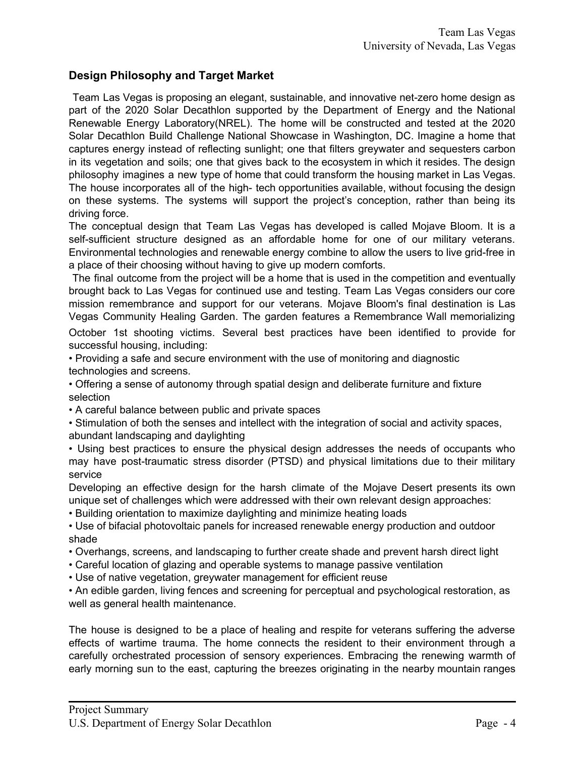#### **Design Philosophy and Target Market**

Team Las Vegas is proposing an elegant, sustainable, and innovative net-zero home design as part of the 2020 Solar Decathlon supported by the Department of Energy and the National Renewable Energy Laboratory(NREL). The home will be constructed and tested at the 2020 Solar Decathlon Build Challenge National Showcase in Washington, DC. Imagine a home that captures energy instead of reflecting sunlight; one that filters greywater and sequesters carbon in its vegetation and soils; one that gives back to the ecosystem in which it resides. The design philosophy imagines a new type of home that could transform the housing market in Las Vegas. The house incorporates all of the high- tech opportunities available, without focusing the design on these systems. The systems will support the project's conception, rather than being its driving force.

The conceptual design that Team Las Vegas has developed is called Mojave Bloom. It is a self-sufficient structure designed as an affordable home for one of our military veterans. Environmental technologies and renewable energy combine to allow the users to live grid-free in a place of their choosing without having to give up modern comforts.

The final outcome from the project will be a home that is used in the competition and eventually brought back to Las Vegas for continued use and testing. Team Las Vegas considers our core mission remembrance and support for our veterans. Mojave Bloom's final destination is Las Vegas Community Healing Garden. The garden features a Remembrance Wall memorializing

October 1st shooting victims. Several best practices have been identified to provide for successful housing, including:

• Providing a safe and secure environment with the use of monitoring and diagnostic technologies and screens.

• Offering a sense of autonomy through spatial design and deliberate furniture and fixture selection

• A careful balance between public and private spaces

• Stimulation of both the senses and intellect with the integration of social and activity spaces, abundant landscaping and daylighting

• Using best practices to ensure the physical design addresses the needs of occupants who may have post-traumatic stress disorder (PTSD) and physical limitations due to their military service

Developing an effective design for the harsh climate of the Mojave Desert presents its own unique set of challenges which were addressed with their own relevant design approaches:

• Building orientation to maximize daylighting and minimize heating loads

• Use of bifacial photovoltaic panels for increased renewable energy production and outdoor shade

• Overhangs, screens, and landscaping to further create shade and prevent harsh direct light

• Careful location of glazing and operable systems to manage passive ventilation

• Use of native vegetation, greywater management for efficient reuse

• An edible garden, living fences and screening for perceptual and psychological restoration, as well as general health maintenance.

The house is designed to be a place of healing and respite for veterans suffering the adverse effects of wartime trauma. The home connects the resident to their environment through a carefully orchestrated procession of sensory experiences. Embracing the renewing warmth of early morning sun to the east, capturing the breezes originating in the nearby mountain ranges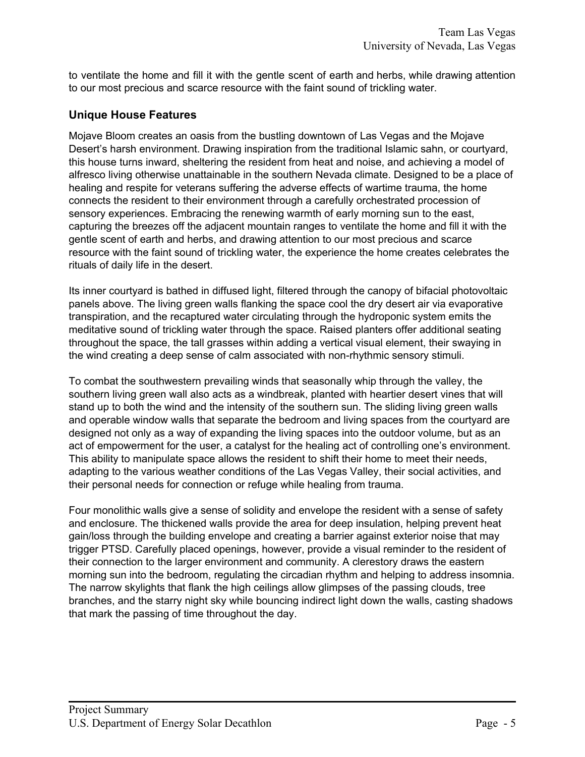to ventilate the home and fill it with the gentle scent of earth and herbs, while drawing attention to our most precious and scarce resource with the faint sound of trickling water.

#### **Unique House Features**

Mojave Bloom creates an oasis from the bustling downtown of Las Vegas and the Mojave Desert's harsh environment. Drawing inspiration from the traditional Islamic sahn, or courtyard, this house turns inward, sheltering the resident from heat and noise, and achieving a model of alfresco living otherwise unattainable in the southern Nevada climate. Designed to be a place of healing and respite for veterans suffering the adverse effects of wartime trauma, the home connects the resident to their environment through a carefully orchestrated procession of sensory experiences. Embracing the renewing warmth of early morning sun to the east, capturing the breezes off the adjacent mountain ranges to ventilate the home and fill it with the gentle scent of earth and herbs, and drawing attention to our most precious and scarce resource with the faint sound of trickling water, the experience the home creates celebrates the rituals of daily life in the desert.

Its inner courtyard is bathed in diffused light, filtered through the canopy of bifacial photovoltaic panels above. The living green walls flanking the space cool the dry desert air via evaporative transpiration, and the recaptured water circulating through the hydroponic system emits the meditative sound of trickling water through the space. Raised planters offer additional seating throughout the space, the tall grasses within adding a vertical visual element, their swaying in the wind creating a deep sense of calm associated with non-rhythmic sensory stimuli.

To combat the southwestern prevailing winds that seasonally whip through the valley, the southern living green wall also acts as a windbreak, planted with heartier desert vines that will stand up to both the wind and the intensity of the southern sun. The sliding living green walls and operable window walls that separate the bedroom and living spaces from the courtyard are designed not only as a way of expanding the living spaces into the outdoor volume, but as an act of empowerment for the user, a catalyst for the healing act of controlling one's environment. This ability to manipulate space allows the resident to shift their home to meet their needs, adapting to the various weather conditions of the Las Vegas Valley, their social activities, and their personal needs for connection or refuge while healing from trauma.

Four monolithic walls give a sense of solidity and envelope the resident with a sense of safety and enclosure. The thickened walls provide the area for deep insulation, helping prevent heat gain/loss through the building envelope and creating a barrier against exterior noise that may trigger PTSD. Carefully placed openings, however, provide a visual reminder to the resident of their connection to the larger environment and community. A clerestory draws the eastern morning sun into the bedroom, regulating the circadian rhythm and helping to address insomnia. The narrow skylights that flank the high ceilings allow glimpses of the passing clouds, tree branches, and the starry night sky while bouncing indirect light down the walls, casting shadows that mark the passing of time throughout the day.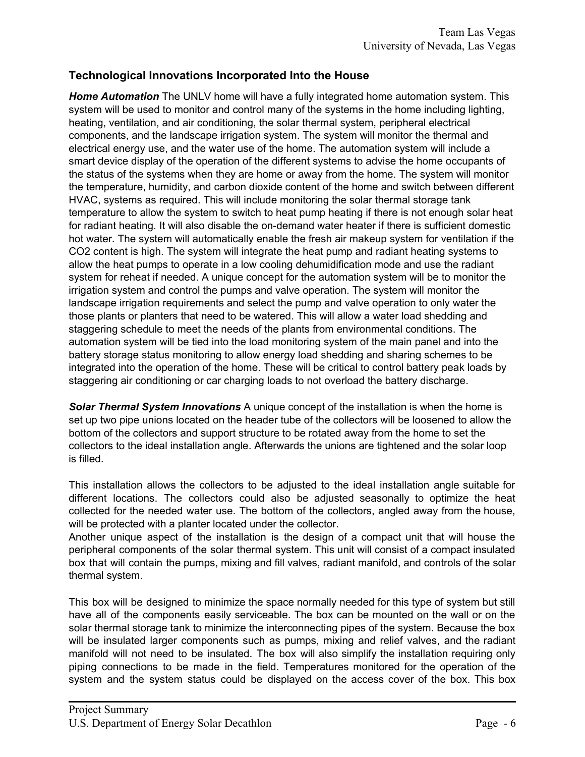## **Technological Innovations Incorporated Into the House**

*Home Automation* The UNLV home will have a fully integrated home automation system. This system will be used to monitor and control many of the systems in the home including lighting, heating, ventilation, and air conditioning, the solar thermal system, peripheral electrical components, and the landscape irrigation system. The system will monitor the thermal and electrical energy use, and the water use of the home. The automation system will include a smart device display of the operation of the different systems to advise the home occupants of the status of the systems when they are home or away from the home. The system will monitor the temperature, humidity, and carbon dioxide content of the home and switch between different HVAC, systems as required. This will include monitoring the solar thermal storage tank temperature to allow the system to switch to heat pump heating if there is not enough solar heat for radiant heating. It will also disable the on-demand water heater if there is sufficient domestic hot water. The system will automatically enable the fresh air makeup system for ventilation if the CO2 content is high. The system will integrate the heat pump and radiant heating systems to allow the heat pumps to operate in a low cooling dehumidification mode and use the radiant system for reheat if needed. A unique concept for the automation system will be to monitor the irrigation system and control the pumps and valve operation. The system will monitor the landscape irrigation requirements and select the pump and valve operation to only water the those plants or planters that need to be watered. This will allow a water load shedding and staggering schedule to meet the needs of the plants from environmental conditions. The automation system will be tied into the load monitoring system of the main panel and into the battery storage status monitoring to allow energy load shedding and sharing schemes to be integrated into the operation of the home. These will be critical to control battery peak loads by staggering air conditioning or car charging loads to not overload the battery discharge.

*Solar Thermal System Innovations* A unique concept of the installation is when the home is set up two pipe unions located on the header tube of the collectors will be loosened to allow the bottom of the collectors and support structure to be rotated away from the home to set the collectors to the ideal installation angle. Afterwards the unions are tightened and the solar loop is filled.

This installation allows the collectors to be adjusted to the ideal installation angle suitable for different locations. The collectors could also be adjusted seasonally to optimize the heat collected for the needed water use. The bottom of the collectors, angled away from the house, will be protected with a planter located under the collector.

Another unique aspect of the installation is the design of a compact unit that will house the peripheral components of the solar thermal system. This unit will consist of a compact insulated box that will contain the pumps, mixing and fill valves, radiant manifold, and controls of the solar thermal system.

This box will be designed to minimize the space normally needed for this type of system but still have all of the components easily serviceable. The box can be mounted on the wall or on the solar thermal storage tank to minimize the interconnecting pipes of the system. Because the box will be insulated larger components such as pumps, mixing and relief valves, and the radiant manifold will not need to be insulated. The box will also simplify the installation requiring only piping connections to be made in the field. Temperatures monitored for the operation of the system and the system status could be displayed on the access cover of the box. This box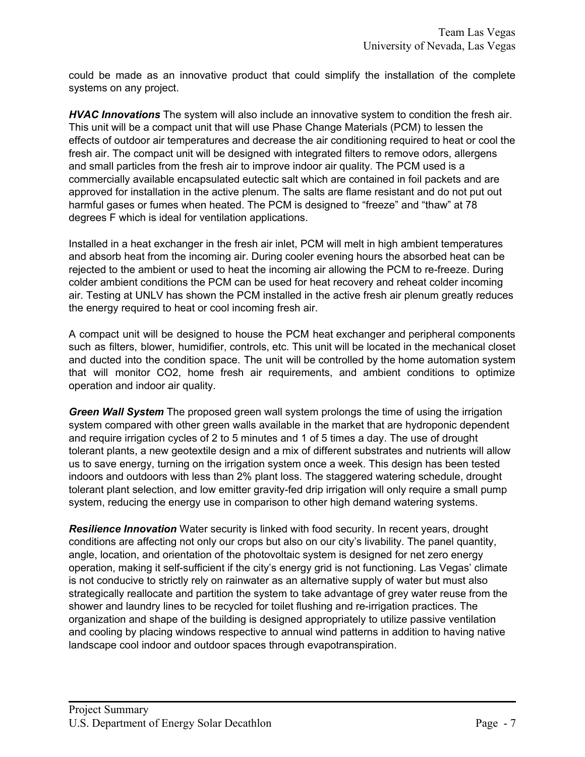could be made as an innovative product that could simplify the installation of the complete systems on any project.

*HVAC Innovations* The system will also include an innovative system to condition the fresh air. This unit will be a compact unit that will use Phase Change Materials (PCM) to lessen the effects of outdoor air temperatures and decrease the air conditioning required to heat or cool the fresh air. The compact unit will be designed with integrated filters to remove odors, allergens and small particles from the fresh air to improve indoor air quality. The PCM used is a commercially available encapsulated eutectic salt which are contained in foil packets and are approved for installation in the active plenum. The salts are flame resistant and do not put out harmful gases or fumes when heated. The PCM is designed to "freeze" and "thaw" at 78 degrees F which is ideal for ventilation applications.

Installed in a heat exchanger in the fresh air inlet, PCM will melt in high ambient temperatures and absorb heat from the incoming air. During cooler evening hours the absorbed heat can be rejected to the ambient or used to heat the incoming air allowing the PCM to re-freeze. During colder ambient conditions the PCM can be used for heat recovery and reheat colder incoming air. Testing at UNLV has shown the PCM installed in the active fresh air plenum greatly reduces the energy required to heat or cool incoming fresh air.

A compact unit will be designed to house the PCM heat exchanger and peripheral components such as filters, blower, humidifier, controls, etc. This unit will be located in the mechanical closet and ducted into the condition space. The unit will be controlled by the home automation system that will monitor CO2, home fresh air requirements, and ambient conditions to optimize operation and indoor air quality.

*Green Wall System* The proposed green wall system prolongs the time of using the irrigation system compared with other green walls available in the market that are hydroponic dependent and require irrigation cycles of 2 to 5 minutes and 1 of 5 times a day. The use of drought tolerant plants, a new geotextile design and a mix of different substrates and nutrients will allow us to save energy, turning on the irrigation system once a week. This design has been tested indoors and outdoors with less than 2% plant loss. The staggered watering schedule, drought tolerant plant selection, and low emitter gravity-fed drip irrigation will only require a small pump system, reducing the energy use in comparison to other high demand watering systems.

*Resilience Innovation* Water security is linked with food security. In recent years, drought conditions are affecting not only our crops but also on our city's livability. The panel quantity, angle, location, and orientation of the photovoltaic system is designed for net zero energy operation, making it self-sufficient if the city's energy grid is not functioning. Las Vegas' climate is not conducive to strictly rely on rainwater as an alternative supply of water but must also strategically reallocate and partition the system to take advantage of grey water reuse from the shower and laundry lines to be recycled for toilet flushing and re-irrigation practices. The organization and shape of the building is designed appropriately to utilize passive ventilation and cooling by placing windows respective to annual wind patterns in addition to having native landscape cool indoor and outdoor spaces through evapotranspiration.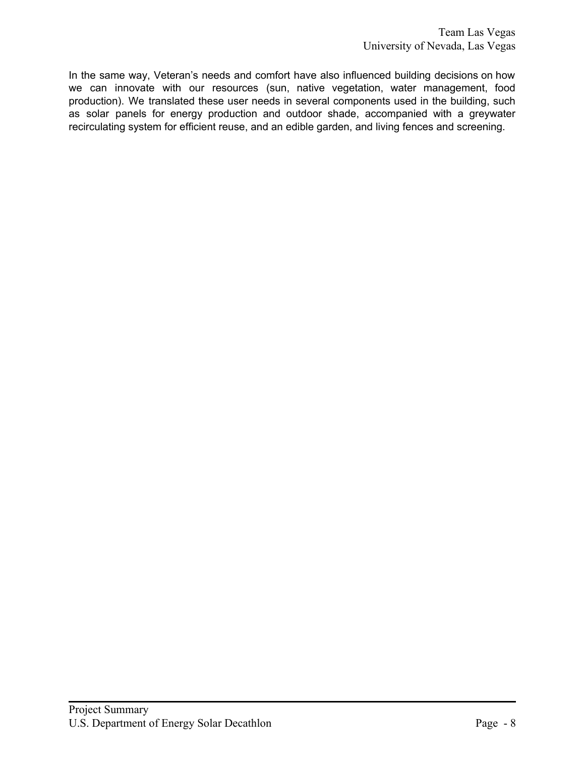In the same way, Veteran's needs and comfort have also influenced building decisions on how we can innovate with our resources (sun, native vegetation, water management, food production). We translated these user needs in several components used in the building, such as solar panels for energy production and outdoor shade, accompanied with a greywater recirculating system for efficient reuse, and an edible garden, and living fences and screening.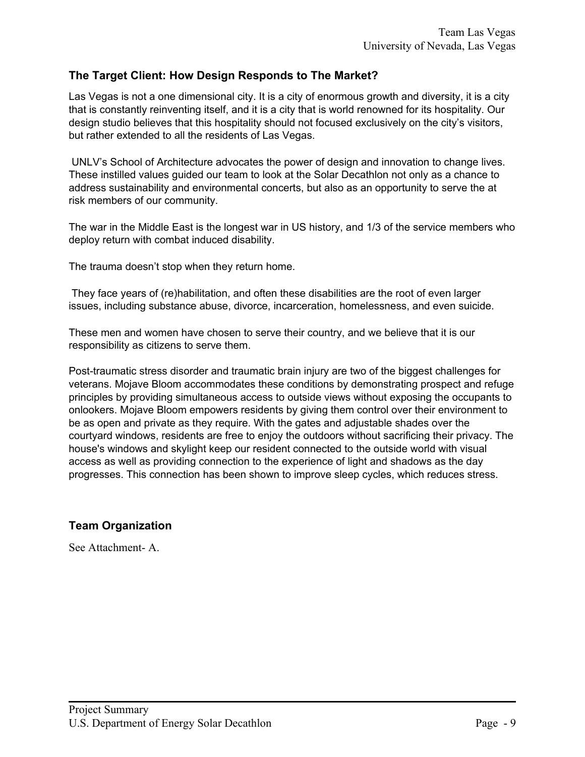### **The Target Client: How Design Responds to The Market?**

Las Vegas is not a one dimensional city. It is a city of enormous growth and diversity, it is a city that is constantly reinventing itself, and it is a city that is world renowned for its hospitality. Our design studio believes that this hospitality should not focused exclusively on the city's visitors, but rather extended to all the residents of Las Vegas.

UNLV's School of Architecture advocates the power of design and innovation to change lives. These instilled values guided our team to look at the Solar Decathlon not only as a chance to address sustainability and environmental concerts, but also as an opportunity to serve the at risk members of our community.

The war in the Middle East is the longest war in US history, and 1/3 of the service members who deploy return with combat induced disability.

The trauma doesn't stop when they return home.

They face years of (re)habilitation, and often these disabilities are the root of even larger issues, including substance abuse, divorce, incarceration, homelessness, and even suicide.

These men and women have chosen to serve their country, and we believe that it is our responsibility as citizens to serve them.

Post-traumatic stress disorder and traumatic brain injury are two of the biggest challenges for veterans. Mojave Bloom accommodates these conditions by demonstrating prospect and refuge principles by providing simultaneous access to outside views without exposing the occupants to onlookers. Mojave Bloom empowers residents by giving them control over their environment to be as open and private as they require. With the gates and adjustable shades over the courtyard windows, residents are free to enjoy the outdoors without sacrificing their privacy. The house's windows and skylight keep our resident connected to the outside world with visual access as well as providing connection to the experience of light and shadows as the day progresses. This connection has been shown to improve sleep cycles, which reduces stress.

## **Team Organization**

See Attachment- A.